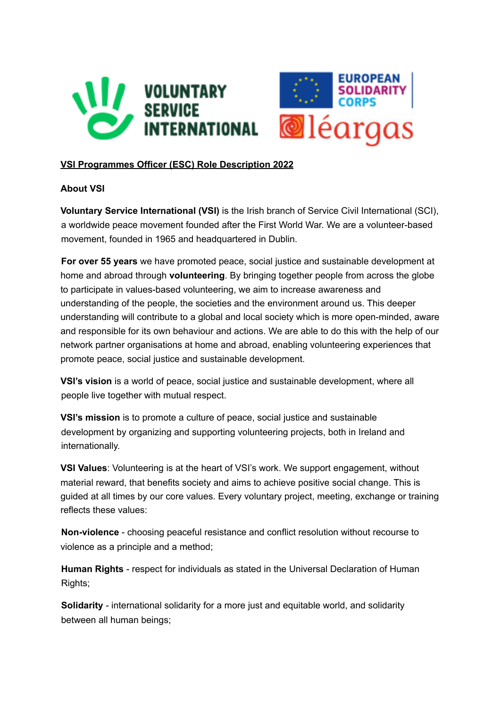



# **VSI Programmes Officer (ESC) Role Description 2022**

## **About VSI**

**Voluntary Service International (VSI)** is the Irish branch of Service Civil International (SCI), a worldwide peace movement founded after the First World War. We are a volunteer-based movement, founded in 1965 and headquartered in Dublin.

**For over 55 years** we have promoted peace, social justice and sustainable development at home and abroad through **volunteering**. By bringing together people from across the globe to participate in values-based volunteering, we aim to increase awareness and understanding of the people, the societies and the environment around us. This deeper understanding will contribute to a global and local society which is more open-minded, aware and responsible for its own behaviour and actions. We are able to do this with the help of our network partner organisations at home and abroad, enabling volunteering experiences that promote peace, social justice and sustainable development.

**VSI's vision** is a world of peace, social justice and sustainable development, where all people live together with mutual respect.

**VSI's mission** is to promote a culture of peace, social justice and sustainable development by organizing and supporting volunteering projects, both in Ireland and internationally.

**VSI Values**: Volunteering is at the heart of VSI's work. We support engagement, without material reward, that benefits society and aims to achieve positive social change. This is guided at all times by our core values. Every voluntary project, meeting, exchange or training reflects these values:

**Non-violence** - choosing peaceful resistance and conflict resolution without recourse to violence as a principle and a method;

**Human Rights** - respect for individuals as stated in the Universal Declaration of Human Rights;

**Solidarity** - international solidarity for a more just and equitable world, and solidarity between all human beings;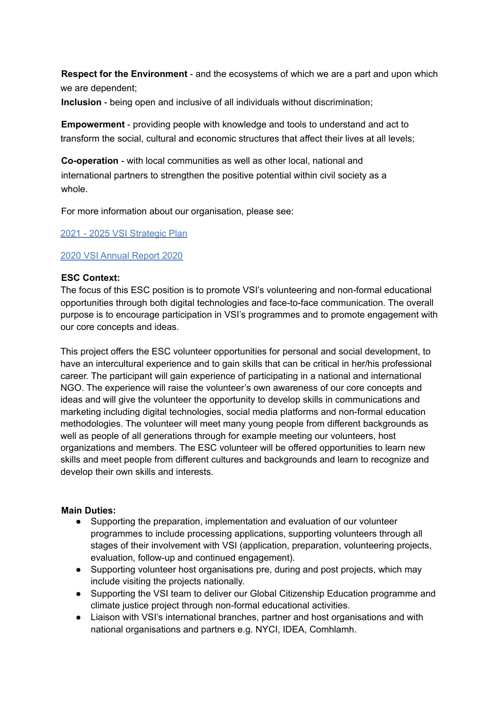**Respect for the Environment** - and the ecosystems of which we are a part and upon which we are dependent;

**Inclusion** - being open and inclusive of all individuals without discrimination;

**Empowerment** - providing people with knowledge and tools to understand and act to transform the social, cultural and economic structures that affect their lives at all levels;

**Co-operation** - with local communities as well as other local, national and international partners to strengthen the positive potential within civil society as a whole.

For more information about our organisation, please see:

2021 - 2025 VSI Strategic Plan

### 2020 VSI Annual Report 2020

## **ESC Context:**

The focus of this ESC position is to promote VSI's volunteering and non-formal educational opportunities through both digital technologies and face-to-face communication. The overall purpose is to encourage participation in VSI's programmes and to promote engagement with our core concepts and ideas.

This project offers the ESC volunteer opportunities for personal and social development, to have an intercultural experience and to gain skills that can be critical in her/his professional career. The participant will gain experience of participating in a national and international NGO. The experience will raise the volunteer's own awareness of our core concepts and ideas and will give the volunteer the opportunity to develop skills in communications and marketing including digital technologies, social media platforms and non-formal education methodologies. The volunteer will meet many young people from different backgrounds as well as people of all generations through for example meeting our volunteers, host organizations and members. The ESC volunteer will be offered opportunities to learn new skills and meet people from different cultures and backgrounds and learn to recognize and develop their own skills and interests.

### **Main Duties:**

- Supporting the preparation, implementation and evaluation of our volunteer programmes to include processing applications, supporting volunteers through all stages of their involvement with VSI (application, preparation, volunteering projects, evaluation, follow-up and continued engagement).
- Supporting volunteer host organisations pre, during and post projects, which may include visiting the projects nationally.
- Supporting the VSI team to deliver our Global Citizenship Education programme and climate justice project through non-formal educational activities.
- Liaison with VSI's international branches, partner and host organisations and with national organisations and partners e.g. NYCI, IDEA, Comhlamh.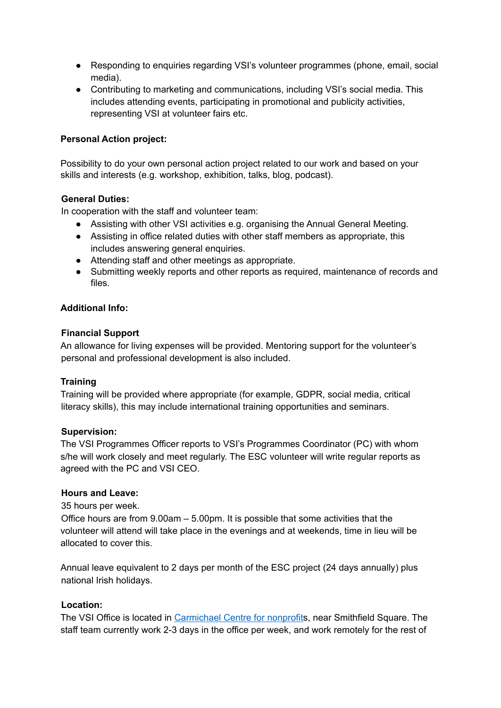- Responding to enquiries regarding VSI's volunteer programmes (phone, email, social media).
- Contributing to marketing and communications, including VSI's social media. This includes attending events, participating in promotional and publicity activities, representing VSI at volunteer fairs etc.

## **Personal Action project:**

Possibility to do your own personal action project related to our work and based on your skills and interests (e.g. workshop, exhibition, talks, blog, podcast).

## **General Duties:**

In cooperation with the staff and volunteer team:

- Assisting with other VSI activities e.g. organising the Annual General Meeting.
- Assisting in office related duties with other staff members as appropriate, this includes answering general enquiries.
- Attending staff and other meetings as appropriate.
- Submitting weekly reports and other reports as required, maintenance of records and files.

### **Additional Info:**

#### **Financial Support**

An allowance for living expenses will be provided. Mentoring support for the volunteer's personal and professional development is also included.

### **Training**

Training will be provided where appropriate (for example, GDPR, social media, critical literacy skills), this may include international training opportunities and seminars.

#### **Supervision:**

The VSI Programmes Officer reports to VSI's Programmes Coordinator (PC) with whom s/he will work closely and meet regularly. The ESC volunteer will write regular reports as agreed with the PC and VSI CEO.

#### **Hours and Leave:**

35 hours per week.

Office hours are from 9.00am – 5.00pm. It is possible that some activities that the volunteer will attend will take place in the evenings and at weekends, time in lieu will be allocated to cover this.

Annual leave equivalent to 2 days per month of the ESC project (24 days annually) plus national Irish holidays.

### **Location:**

The VSI Office is located in [Carmichael](https://www.carmichaelireland.ie/what-we-do/services/office-accommodation/) Centre for nonprofits, near Smithfield Square. The staff team currently work 2-3 days in the office per week, and work remotely for the rest of